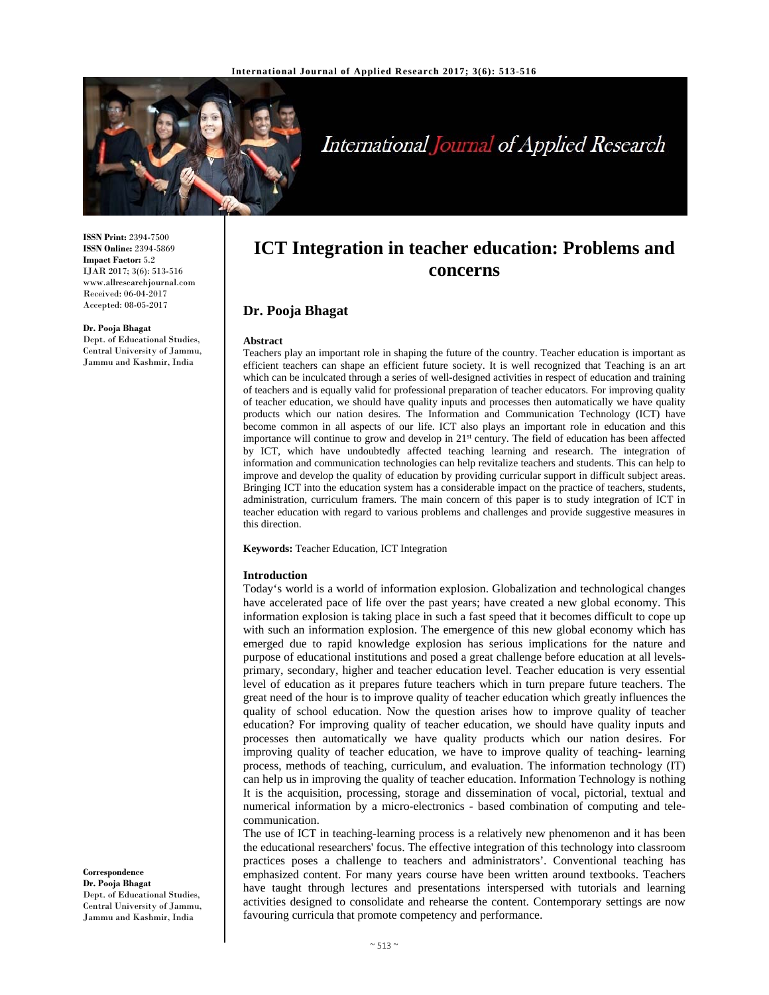

# International Journal of Applied Research

**ISSN Print:** 2394-7500 **ISSN Online:** 2394-5869 **Impact Factor:** 5.2 IJAR 2017; 3(6): 513-516 www.allresearchjournal.com Received: 06-04-2017 Accepted: 08-05-2017

#### **Dr. Pooja Bhagat**

Dept. of Educational Studies, Central University of Jammu, Jammu and Kashmir, India

## **ICT Integration in teacher education: Problems and concerns**

## **Dr. Pooja Bhagat**

#### **Abstract**

Teachers play an important role in shaping the future of the country. Teacher education is important as efficient teachers can shape an efficient future society. It is well recognized that Teaching is an art which can be inculcated through a series of well-designed activities in respect of education and training of teachers and is equally valid for professional preparation of teacher educators. For improving quality of teacher education, we should have quality inputs and processes then automatically we have quality products which our nation desires. The Information and Communication Technology (ICT) have become common in all aspects of our life. ICT also plays an important role in education and this importance will continue to grow and develop in 21<sup>st</sup> century. The field of education has been affected by ICT, which have undoubtedly affected teaching learning and research. The integration of information and communication technologies can help revitalize teachers and students. This can help to improve and develop the quality of education by providing curricular support in difficult subject areas. Bringing ICT into the education system has a considerable impact on the practice of teachers, students, administration, curriculum framers. The main concern of this paper is to study integration of ICT in teacher education with regard to various problems and challenges and provide suggestive measures in this direction.

**Keywords:** Teacher Education, ICT Integration

#### **Introduction**

Today's world is a world of information explosion. Globalization and technological changes have accelerated pace of life over the past years; have created a new global economy. This information explosion is taking place in such a fast speed that it becomes difficult to cope up with such an information explosion. The emergence of this new global economy which has emerged due to rapid knowledge explosion has serious implications for the nature and purpose of educational institutions and posed a great challenge before education at all levelsprimary, secondary, higher and teacher education level. Teacher education is very essential level of education as it prepares future teachers which in turn prepare future teachers. The great need of the hour is to improve quality of teacher education which greatly influences the quality of school education. Now the question arises how to improve quality of teacher education? For improving quality of teacher education, we should have quality inputs and processes then automatically we have quality products which our nation desires. For improving quality of teacher education, we have to improve quality of teaching- learning process, methods of teaching, curriculum, and evaluation. The information technology (IT) can help us in improving the quality of teacher education. Information Technology is nothing It is the acquisition, processing, storage and dissemination of vocal, pictorial, textual and numerical information by a micro-electronics - based combination of computing and telecommunication.

The use of ICT in teaching-learning process is a relatively new phenomenon and it has been the educational researchers' focus. The effective integration of this technology into classroom practices poses a challenge to teachers and administrators'. Conventional teaching has emphasized content. For many years course have been written around textbooks. Teachers have taught through lectures and presentations interspersed with tutorials and learning activities designed to consolidate and rehearse the content. Contemporary settings are now favouring curricula that promote competency and performance.

**Correspondence Dr. Pooja Bhagat**  Dept. of Educational Studies, Central University of Jammu, Jammu and Kashmir, India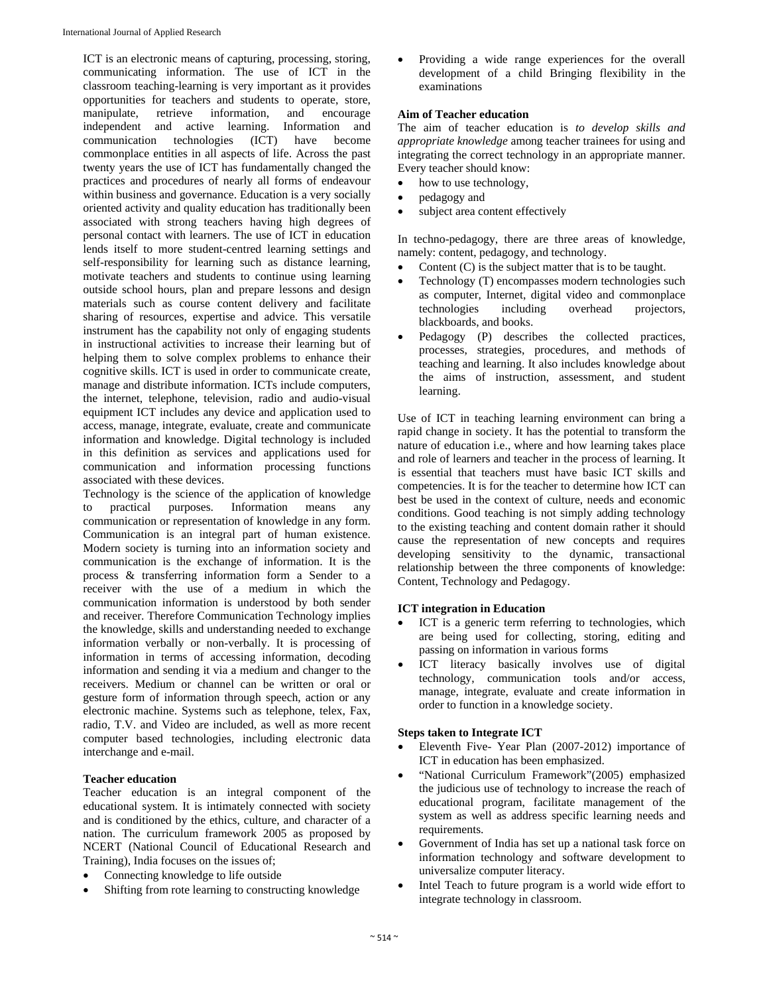ICT is an electronic means of capturing, processing, storing, communicating information. The use of ICT in the classroom teaching-learning is very important as it provides opportunities for teachers and students to operate, store, manipulate, retrieve information, and encourage independent and active learning. Information and communication technologies (ICT) have become commonplace entities in all aspects of life. Across the past twenty years the use of ICT has fundamentally changed the practices and procedures of nearly all forms of endeavour within business and governance. Education is a very socially oriented activity and quality education has traditionally been associated with strong teachers having high degrees of personal contact with learners. The use of ICT in education lends itself to more student-centred learning settings and self-responsibility for learning such as distance learning, motivate teachers and students to continue using learning outside school hours, plan and prepare lessons and design materials such as course content delivery and facilitate sharing of resources, expertise and advice. This versatile instrument has the capability not only of engaging students in instructional activities to increase their learning but of helping them to solve complex problems to enhance their cognitive skills. ICT is used in order to communicate create, manage and distribute information. ICTs include computers, the internet, telephone, television, radio and audio-visual equipment ICT includes any device and application used to access, manage, integrate, evaluate, create and communicate information and knowledge. Digital technology is included in this definition as services and applications used for communication and information processing functions associated with these devices.

Technology is the science of the application of knowledge to practical purposes. Information means any communication or representation of knowledge in any form. Communication is an integral part of human existence. Modern society is turning into an information society and communication is the exchange of information. It is the process & transferring information form a Sender to a receiver with the use of a medium in which the communication information is understood by both sender and receiver. Therefore Communication Technology implies the knowledge, skills and understanding needed to exchange information verbally or non-verbally. It is processing of information in terms of accessing information, decoding information and sending it via a medium and changer to the receivers. Medium or channel can be written or oral or gesture form of information through speech, action or any electronic machine. Systems such as telephone, telex, Fax, radio, T.V. and Video are included, as well as more recent computer based technologies, including electronic data interchange and e-mail.

## **Teacher education**

Teacher education is an integral component of the educational system. It is intimately connected with society and is conditioned by the ethics, culture, and character of a nation. The curriculum framework 2005 as proposed by NCERT (National Council of Educational Research and Training), India focuses on the issues of;

- Connecting knowledge to life outside
- Shifting from rote learning to constructing knowledge

 Providing a wide range experiences for the overall development of a child Bringing flexibility in the examinations

#### **Aim of Teacher education**

The aim of teacher education is *to develop skills and appropriate knowledge* among teacher trainees for using and integrating the correct technology in an appropriate manner. Every teacher should know:

- how to use technology,
- pedagogy and
- subject area content effectively

In techno-pedagogy, there are three areas of knowledge, namely: content, pedagogy, and technology.

- Content (C) is the subject matter that is to be taught.
- Technology (T) encompasses modern technologies such as computer, Internet, digital video and commonplace technologies including overhead projectors, blackboards, and books.
- Pedagogy (P) describes the collected practices, processes, strategies, procedures, and methods of teaching and learning. It also includes knowledge about the aims of instruction, assessment, and student learning.

Use of ICT in teaching learning environment can bring a rapid change in society. It has the potential to transform the nature of education i.e., where and how learning takes place and role of learners and teacher in the process of learning. It is essential that teachers must have basic ICT skills and competencies. It is for the teacher to determine how ICT can best be used in the context of culture, needs and economic conditions. Good teaching is not simply adding technology to the existing teaching and content domain rather it should cause the representation of new concepts and requires developing sensitivity to the dynamic, transactional relationship between the three components of knowledge: Content, Technology and Pedagogy.

## **ICT integration in Education**

- ICT is a generic term referring to technologies, which are being used for collecting, storing, editing and passing on information in various forms
- ICT literacy basically involves use of digital technology, communication tools and/or access, manage, integrate, evaluate and create information in order to function in a knowledge society.

#### **Steps taken to Integrate ICT**

- Eleventh Five- Year Plan (2007-2012) importance of ICT in education has been emphasized.
- "National Curriculum Framework"(2005) emphasized the judicious use of technology to increase the reach of educational program, facilitate management of the system as well as address specific learning needs and requirements.
- Government of India has set up a national task force on information technology and software development to universalize computer literacy.
- Intel Teach to future program is a world wide effort to integrate technology in classroom.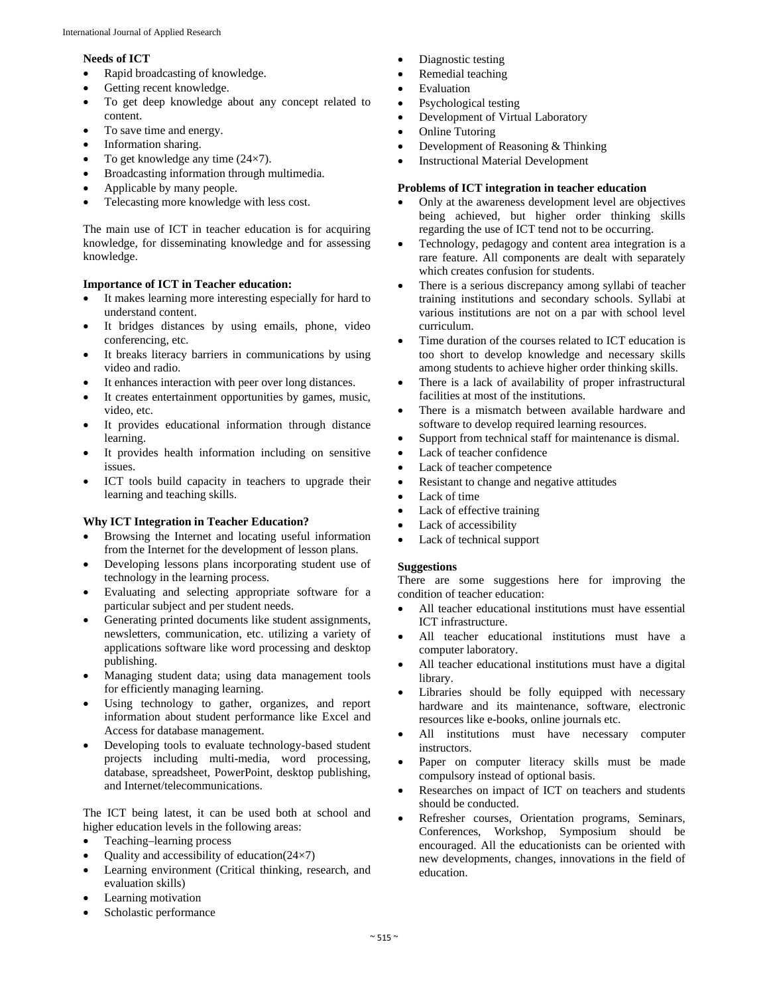#### **Needs of ICT**

- Rapid broadcasting of knowledge.
- Getting recent knowledge.
- To get deep knowledge about any concept related to content.
- To save time and energy.
- Information sharing.
- To get knowledge any time (24×7).
- Broadcasting information through multimedia.
- Applicable by many people.
- Telecasting more knowledge with less cost.

The main use of ICT in teacher education is for acquiring knowledge, for disseminating knowledge and for assessing knowledge.

#### **Importance of ICT in Teacher education:**

- It makes learning more interesting especially for hard to understand content.
- It bridges distances by using emails, phone, video conferencing, etc.
- It breaks literacy barriers in communications by using video and radio.
- It enhances interaction with peer over long distances.
- It creates entertainment opportunities by games, music, video, etc.
- It provides educational information through distance learning.
- It provides health information including on sensitive issues.
- ICT tools build capacity in teachers to upgrade their learning and teaching skills.

#### **Why ICT Integration in Teacher Education?**

- Browsing the Internet and locating useful information from the Internet for the development of lesson plans.
- Developing lessons plans incorporating student use of technology in the learning process.
- Evaluating and selecting appropriate software for a particular subject and per student needs.
- Generating printed documents like student assignments, newsletters, communication, etc. utilizing a variety of applications software like word processing and desktop publishing.
- Managing student data; using data management tools for efficiently managing learning.
- Using technology to gather, organizes, and report information about student performance like Excel and Access for database management.
- Developing tools to evaluate technology-based student projects including multi-media, word processing, database, spreadsheet, PowerPoint, desktop publishing, and Internet/telecommunications.

The ICT being latest, it can be used both at school and higher education levels in the following areas:

- Teaching–learning process
- Quality and accessibility of education(24×7)
- Learning environment (Critical thinking, research, and evaluation skills)
- Learning motivation
- Scholastic performance
- Diagnostic testing
- Remedial teaching
- Evaluation
- Psychological testing
- Development of Virtual Laboratory
- Online Tutoring
- Development of Reasoning & Thinking
- Instructional Material Development

#### **Problems of ICT integration in teacher education**

- Only at the awareness development level are objectives being achieved, but higher order thinking skills regarding the use of ICT tend not to be occurring.
- Technology, pedagogy and content area integration is a rare feature. All components are dealt with separately which creates confusion for students.
- There is a serious discrepancy among syllabi of teacher training institutions and secondary schools. Syllabi at various institutions are not on a par with school level curriculum.
- Time duration of the courses related to ICT education is too short to develop knowledge and necessary skills among students to achieve higher order thinking skills.
- There is a lack of availability of proper infrastructural facilities at most of the institutions.
- There is a mismatch between available hardware and software to develop required learning resources.
- Support from technical staff for maintenance is dismal.
- Lack of teacher confidence
- Lack of teacher competence
- Resistant to change and negative attitudes
- Lack of time
- Lack of effective training
- Lack of accessibility
- Lack of technical support

#### **Suggestions**

There are some suggestions here for improving the condition of teacher education:

- All teacher educational institutions must have essential ICT infrastructure.
- All teacher educational institutions must have a computer laboratory.
- All teacher educational institutions must have a digital library.
- Libraries should be folly equipped with necessary hardware and its maintenance, software, electronic resources like e-books, online journals etc.
- All institutions must have necessary computer instructors.
- Paper on computer literacy skills must be made compulsory instead of optional basis.
- Researches on impact of ICT on teachers and students should be conducted.
- Refresher courses, Orientation programs, Seminars, Conferences, Workshop, Symposium should be encouraged. All the educationists can be oriented with new developments, changes, innovations in the field of education.